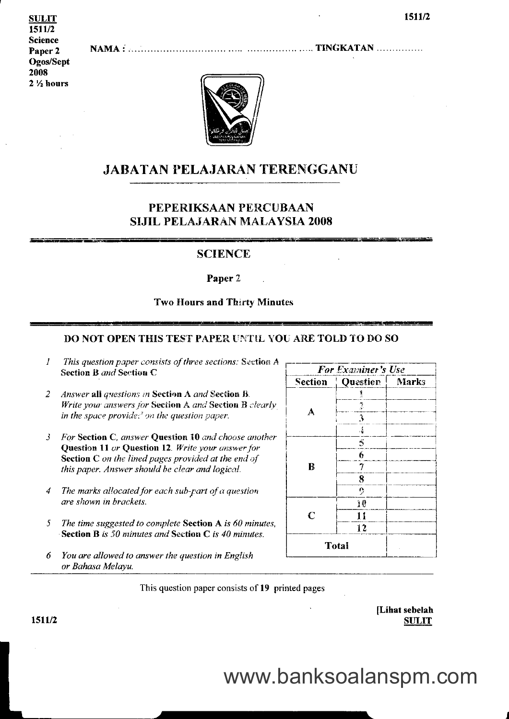**SULIT** 1511/2 **Science** Paper<sub>2</sub> Ogos/Sept 2008  $2\frac{1}{2}$  hours



### **JABATAN PELAJARAN TERENGGANU**

### PEPERIKSAAN PERCUBAAN **SIJIL PELAJARAN MALAYSIA 2008**

### **SCIENCE**

Paper 2

#### **Two Hours and Thirty Minutes**

#### DO NOT OPEN THIS TEST PAPER UNTIL YOU ARE TOLD TO DO SO

- $\mathcal{I}$ This question paper consists of three sections: Section A Section B and Section C
- Answer all questions in Section A and Section B.  $\overline{2}$ Write your answers for Section A and Section B clearly in the space provides<sup>2</sup> on the question paper.
- For Section C, answer Question 10 and choose another  $\mathfrak{z}$ Question 11 or Question 12. Write your answer for **Section C** on the lined pages provided at the end of this paper. Answer should be clear and logical.
- The marks allocated for each sub-part of a question  $\boldsymbol{4}$ are shown in brackets.
- The time suggested to complete Section A is 60 minutes, 5 **Section B** is 50 minutes and Section C is 40 minutes.
- You are allowed to answer the question in English 6 or Bahasa Melayu.

|         | For Examiner's Use |       |
|---------|--------------------|-------|
| Section | Question           | Marks |
|         | 1                  |       |
| A       | $\frac{2}{\alpha}$ |       |
|         | 3                  |       |
|         | $\hat{A}$          |       |
|         | $\tilde{5}$        |       |
|         | 6                  |       |
| B       | 7                  |       |
|         | 8                  |       |
|         | $\mathbf{Q}$       |       |
|         | 10                 |       |
| C       | 11                 |       |
|         | 12                 |       |
|         | Total              |       |

This question paper consists of 19 printed pages

| [Lihat sebelah |
|----------------|
| <b>SULIT</b>   |

1511/2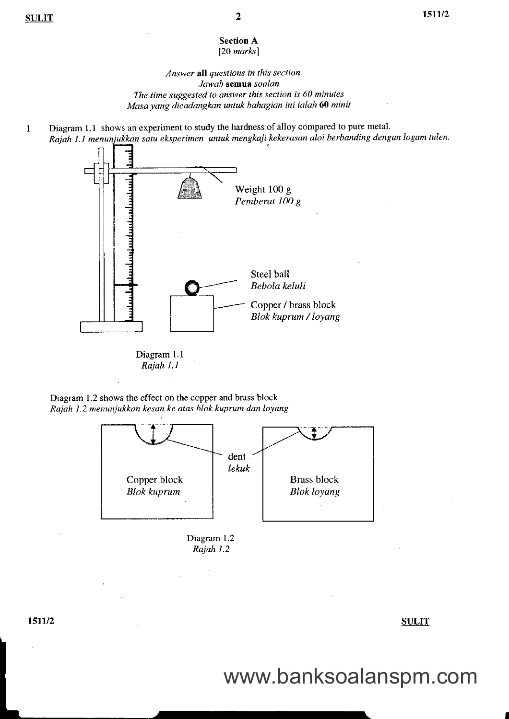#### **Section A**  $[20$  marks]

#### Answer all questions in this section. Jawab semua soalan The time suggested to answer this section is 60 minutes Masa yang dicadangkan untuk bahagian ini ialah 60 minit

Diagram 1.1 shows an experiment to study the hardness of alloy compared to pure metal.  $\mathbf{1}$ Rajah 1.1 menunjukkan satu eksperimen untuk mengkaji kekerasan aloi berbanding dengan logam tulen.



Rajah 1.1

Diagram 1.2 shows the effect on the copper and brass block Rajah 1.2 menunjukkan kesan ke atas blok kuprum dan loyang





I

### www.banksoalanspm.com

tstudent i Sulling and Sulling Sulling Sulling Sulling Sulling Sulling Sulling Sulling Sulling Sulling Sulling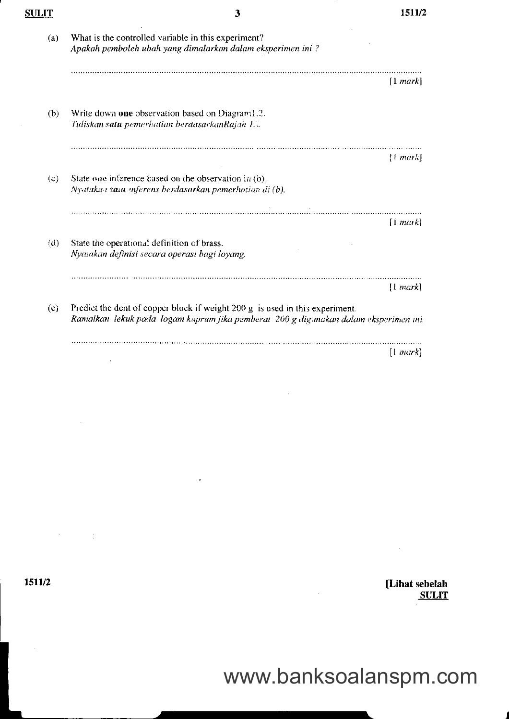| SULIT | 3                                                                                                                                                                    | 1511/2        |
|-------|----------------------------------------------------------------------------------------------------------------------------------------------------------------------|---------------|
| (a)   | What is the controlled variable in this experiment?<br>Apakah pemboleh ubah yang dimalarkan dalam eksperimen ini?                                                    |               |
|       |                                                                                                                                                                      | [1 mark]      |
| (b)   | Write down one observation based on Diagram1.2.<br>Tuliskan satu pemerhatian berdasarkanRajah 1.0                                                                    |               |
|       |                                                                                                                                                                      | [1 mark]      |
| (c)   | State one inference based on the observation in (b).<br>Nyatakan sanu inferens berdasarkan pemerhatian di (b).                                                       |               |
|       |                                                                                                                                                                      | .<br>[1 mark] |
| (d)   | State the operational definition of brass.<br>Nyatakan definisi secara operasi bagi loyang.                                                                          |               |
|       |                                                                                                                                                                      | [1 mark]      |
| (e)   | Predict the dent of copper block if weight 200 g is used in this experiment.<br>Ramalkan lekuk pada logam kuprum jika pemberat 200 g digunakan dalam eksperimen ini. |               |
|       |                                                                                                                                                                      | $[1$ mark     |

1511/2

 $\mathcal{F}^{\text{max}}_{\text{max}}$ 

[Lihat sebelah<br>SULIT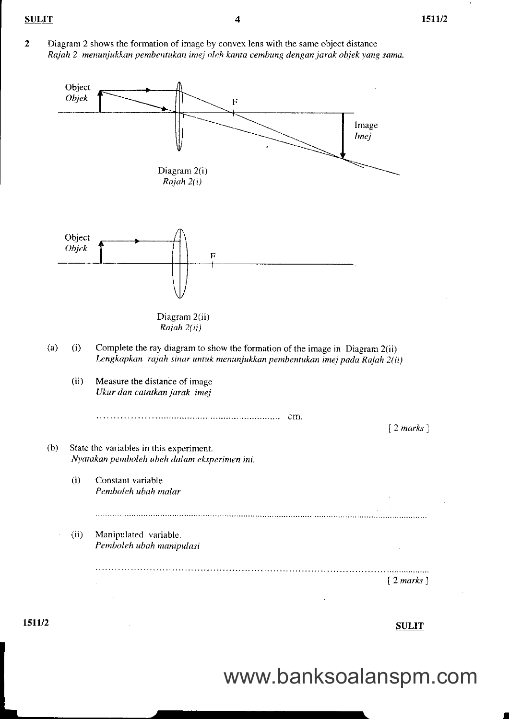$\overline{2}$ Diagram 2 shows the formation of image by convex lens with the same object distance Rajah 2 menunjukkan pembentukan imej oleh kanta cembung dengan jarak objek yang sama.



 $\frac{\text{SULIT}}{}$ 

I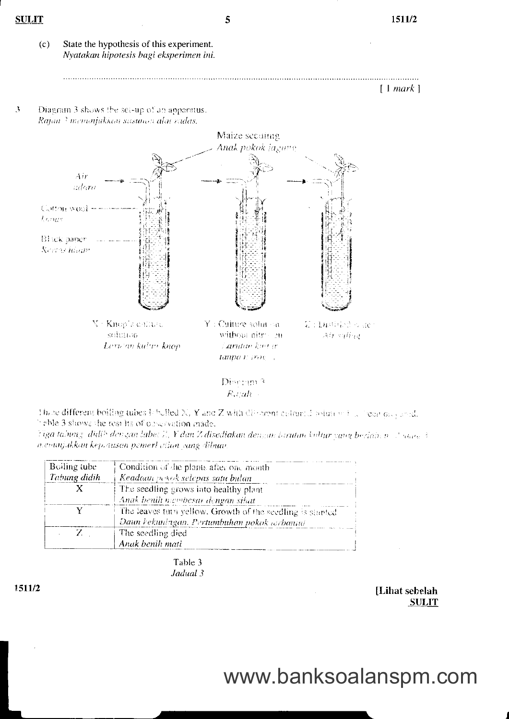

 $[1 mark]$ 

 $\frac{9}{2}$ Diagram 3 shows the set-up of an apparatus. Rajan<sup>3</sup> menunjukkan susunon alat radas.



Diserum<sup>2</sup>  $R$ .rah

Those different boiling tubes Ichelled X, Y and Z with different columns relations in a licent proposal. hable 3 shows the results of observation made.

Tiga tabung, didib dengan labet 7., Y dan Z disediakan dengan tarutan kultur yang berlain n. 2 yawe 3 n enunjakkim kep, ausen pemerl etian vang dibuar.

| Boiling tube | Condition of the plants after one month                   |
|--------------|-----------------------------------------------------------|
| Tabung didih | Keadaan pekok selepas satu bulan                          |
|              | The seedling grows into healthy plant                     |
|              | Anak benih niembesar dengan sihat                         |
|              | The leaves turn yellow. Growth of the seedling is stunted |
|              | Daun kekuningan. Pertumbuhan pokok terbantut              |
| $Z_{\rm c}$  | The seedling died                                         |
|              | Anak benih mati                                           |

Table 3 Jadual 3

> [Lihat sebelah **SULIT**

# www.banksoalanspm.com

1511/2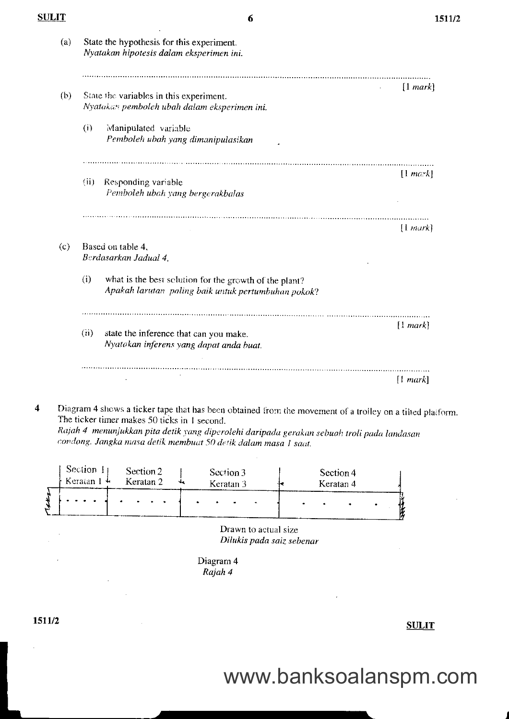|      | State the hypothesis for this experiment.<br>Nyatakan hipotesis dalam eksperimen ini.                         |               |
|------|---------------------------------------------------------------------------------------------------------------|---------------|
|      | State the variables in this experiment.                                                                       | [1 mark]      |
|      | Nyatakan pemboleh ubah dalam eksperimen ini.                                                                  |               |
| (i)  | Manipulated variable<br>Pemboleh ubah yang dimanipulasikan                                                    |               |
| (ii) | Responding variable<br>Pemboleh ubah yang bergerakbalas                                                       | $[1 \, mark]$ |
|      |                                                                                                               | [1 mark]      |
|      | Based on table 4.<br>Berdasarkan Jadual 4,                                                                    |               |
| (i)  | what is the best solution for the growth of the plant?<br>Apakah larutan paling baik untuk pertumbuhan pokok? |               |
| (ii) | state the inference that can you make.<br>Nyatakan inferens yang dapat anda buat.                             | [1 mark]      |
|      |                                                                                                               | [1 mark]      |

Diagram 4 shows a ticker tape that has been obtained from the movement of a trolley on a tilted plaiform.  $\overline{\mathbf{4}}$ The ticker timer makes 50 ticks in 1 second. Rajah 4 menunjukkan pita detik yang diperolehi daripada gerakan sebuah troli pada landasan condong. Jangka masa detik membuat 50 detik dalam masa 1 saat.

|     | Section 1<br>$\epsilon$ Keratan 1 $\pm$ | Section 2<br>Keratan <sub>2</sub> |           | Section 3<br>Keratan 3 |              |  | Section 4<br>Keratan 4 |  |  |
|-----|-----------------------------------------|-----------------------------------|-----------|------------------------|--------------|--|------------------------|--|--|
| ۰., |                                         | <b><i>Contract Manager</i></b>    | $\bullet$ |                        | $\mathbf{r}$ |  |                        |  |  |

Drawn to actual size Dilukis pada saiz sebenar

Diagram 4 Rajah 4

 $\bar{\Delta}$ 

ltilla sulla sulla sulla sulla sulla sulla sulla sulla sulla sulla sulla sulla sulla sulla sulla sulla sulla s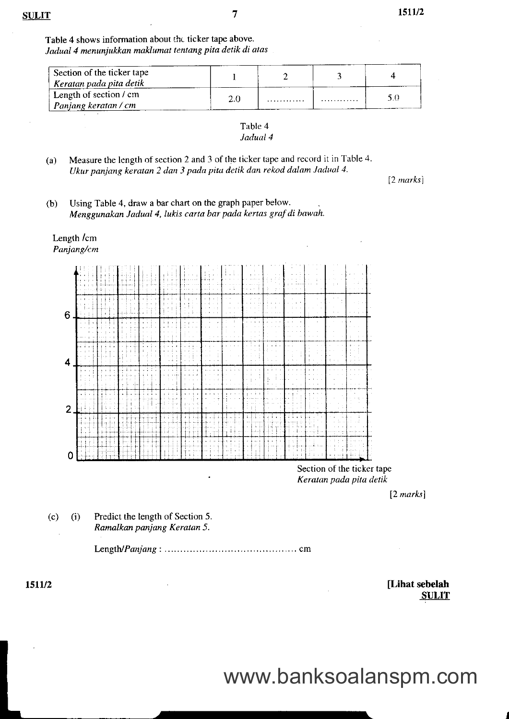$\overline{7}$ 

Table 4 shows information about the ticker tape above. Jadual 4 menunjukkan maklumat tentang pita detik di atas

| Section of the ticker tape<br>' Keratan pada pita detik |     |   |   |  |
|---------------------------------------------------------|-----|---|---|--|
| Length of section $\ell$ cm<br>Panjang keratan / cm     | 2.0 | . | . |  |

Table 4 Jadual 4

(a) Measure the length of section 2 and 3 of the ticker tape and rccord it in Table 4. Ukur panjang keratan 2 dan 3 pada pitu detik dan rekod dalam Jadual 4.

 $[2 \text{ marks}]$ 

(b) Using Table 4, draw a bar chart on the graph paper below. Menggunakan Jadual 4, lukis carta bar pada kertas graf di bawah.

### Length /cm

Panjang/cm



Section of the ticker tape Kerdtan pada pitu detik

12 marksl

 $(c)$  (i) Predict the length of Section 5. Ramalkan panjang Keratan 5.

l - n n g t U P a n j a n g : . . . . . . . . . . . . . . . . . . . . . . . . . . . . . . . . . . . . . . . . . . c m

tter 1511/2 [Lihat sebelah SULIT]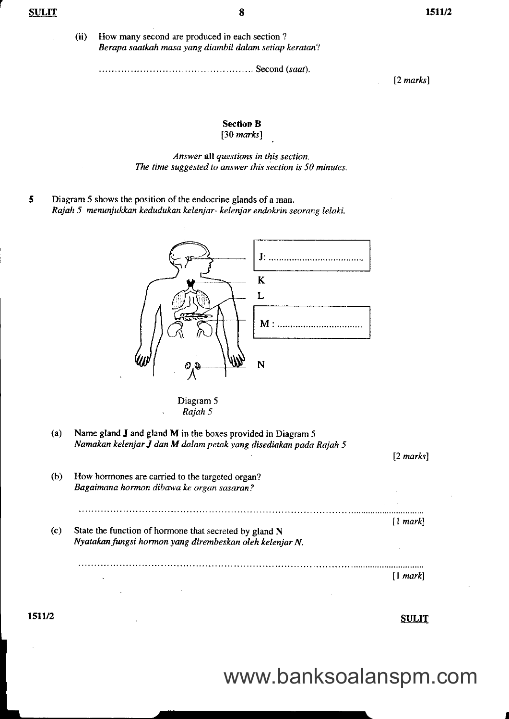How many second are produced in each section ? Berapa saatkah masa yang diambil dalam setiap keratan? (ii)

Second (scal).

[2 marks]

#### Section B

 $[30$  marks]

Answer all questions in this section.<br>The time suggested to answer this section is 50 minutes.

5 Diagram 5 shows the position of the endocrine glands of a man. Rajah 5 menunjukkan kedudukan kelenjar- kelenjar endokrin seorang lelaki.



Diagram 5 Rajah 5

(a) Name gland J and gland M in the boxes provided in Diagram 5 Namakan kelenjar J dan M dalam petak yang disediakan pada Rajah 5

12 marksl (b) How hormones are carried to the targeted organ? Bagaimana hormon dibawa ke organ sasaran? I markl (c) State the function of hormone that secreted by gland N Nyatakan fungsi hormon yang dirembeskan oleh kelenjar N, ll mark)

SULIT

www.banksoalanspm.com

1511/2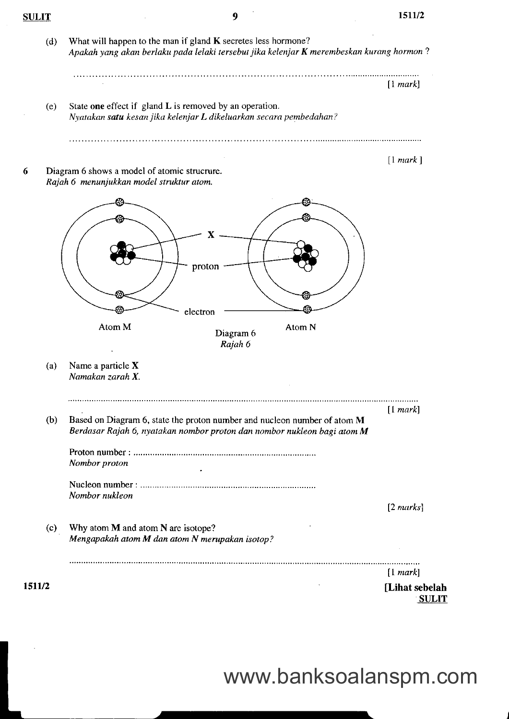|     |                                                                                                                                                                      | [1 mark]  |
|-----|----------------------------------------------------------------------------------------------------------------------------------------------------------------------|-----------|
| (e) | State one effect if gland L is removed by an operation.<br>Nyatakan satu kesan jika kelenjar L dikeluarkan secara pembedahan?                                        |           |
|     | Diagram 6 shows a model of atomic strucrure.<br>Rajah 6 menunjukkan model struktur atom.                                                                             | [1 mark]  |
|     | proton<br>electron<br>Atom M<br>Atom N<br>Diagram 6                                                                                                                  |           |
| (a) | Rajah 6<br>Name a particle X<br>Namakan zarah X.                                                                                                                     |           |
|     |                                                                                                                                                                      | [1 mark]  |
| (b) | Based on Diagram 6, state the proton number and nucleon number of atom M<br>Berdasar Rajah 6, nyatakan nombor proton dan nombor nukleon bagi atom M<br>Nombor proton |           |
|     |                                                                                                                                                                      |           |
|     | Nombor nukleon                                                                                                                                                       | [2 marks] |
|     | Why atom M and atom N are isotope?                                                                                                                                   |           |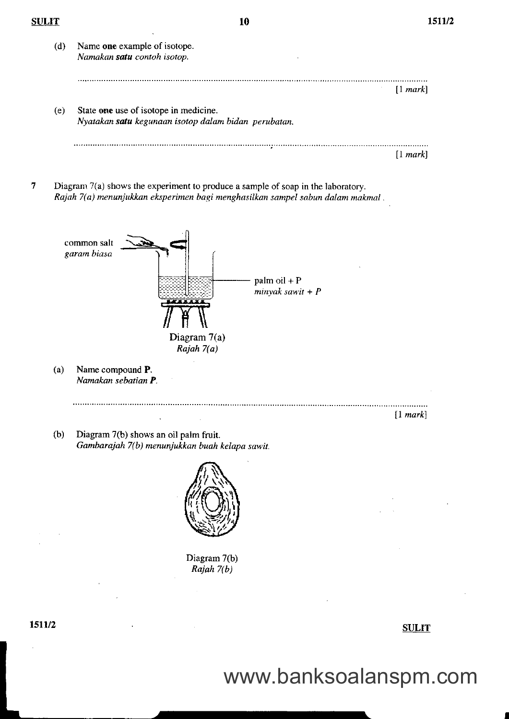$\overline{7}$ 

 $\hat{\boldsymbol{\beta}}$ 

| <b>SULIT</b> |     | 10                                                                                                                                                                 | 1            |
|--------------|-----|--------------------------------------------------------------------------------------------------------------------------------------------------------------------|--------------|
|              | (d) | Name one example of isotope.<br>Namakan satu contoh isotop.                                                                                                        |              |
|              |     |                                                                                                                                                                    | [1 mark]     |
|              | (e) | State one use of isotope in medicine.<br>Nyatakan satu kegunaan isotop dalam bidan perubatan.                                                                      |              |
|              |     |                                                                                                                                                                    | [1 mark]     |
| 7            |     | Diagram 7(a) shows the experiment to produce a sample of soap in the laboratory.<br>Rajah 7(a) menunjukkan eksperimen bagi menghasilkan sampel sabun dalam makmal. |              |
|              |     | common salt<br>garam biasa<br>$palm oil + P$<br>$minyak sawit + P$                                                                                                 |              |
|              | (a) | Diagram 7(a)<br>Rajah 7(a)<br>Name compound P.<br>Namakan sebatian P.                                                                                              |              |
|              |     |                                                                                                                                                                    | [1 mark]     |
|              | (b) | Diagram 7(b) shows an oil palm fruit.<br>Gambarajah 7(b) menunjukkan buah kelapa sawit.                                                                            |              |
|              |     |                                                                                                                                                                    |              |
|              |     | Diagram 7(b)<br>Rajah 7(b)                                                                                                                                         |              |
|              |     |                                                                                                                                                                    |              |
| 1511/2       |     |                                                                                                                                                                    | <b>SULIT</b> |
|              |     |                                                                                                                                                                    |              |

1511/2

www.banksoalanspm.com

t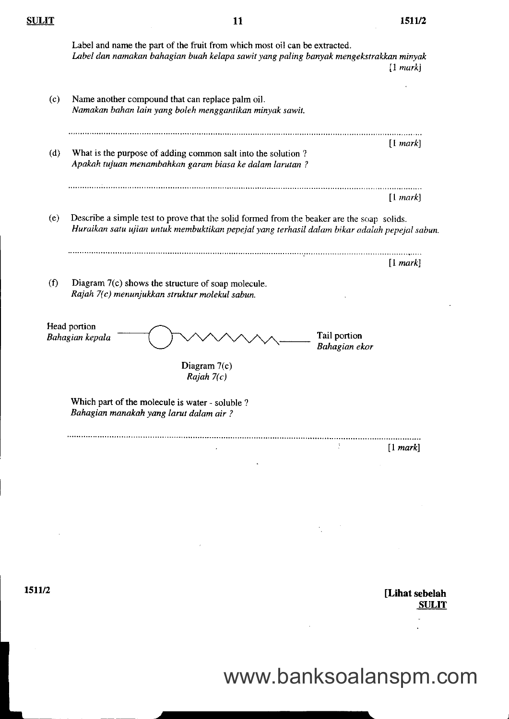|     | Label and name the part of the fruit from which most oil can be extracted.<br>Label dan namakan bahagian buah kelapa sawit yang paling banyak mengekstrakkan minyak                         | $[1 \text{ mark}]$ |
|-----|---------------------------------------------------------------------------------------------------------------------------------------------------------------------------------------------|--------------------|
| (c) | Name another compound that can replace palm oil.<br>Namakan bahan lain yang boleh menggantikan minyak sawit.                                                                                |                    |
| (d) | What is the purpose of adding common salt into the solution?<br>Apakah tujuan menambahkan garam biasa ke dalam larutan?                                                                     | [1 mark]           |
|     |                                                                                                                                                                                             | [1 mark]           |
| (e) | Describe a simple test to prove that the solid formed from the beaker are the soap solids.<br>Huraikan satu ujian untuk membuktikan pepejal yang terhasil dalam bikar adalah pepejal sabun. |                    |
|     |                                                                                                                                                                                             |                    |
|     |                                                                                                                                                                                             | [1 mark]           |
| (f) | Diagram 7(c) shows the structure of soap molecule.<br>Rajah 7(c) menunjukkan struktur molekul sabun.                                                                                        |                    |
|     | Head portion<br>Tail portion<br>Bahagian kepala<br>Bahagian ekor                                                                                                                            |                    |
|     | Diagram $7(c)$<br>Rajah $7(c)$                                                                                                                                                              |                    |
|     | Which part of the molecule is water - soluble ?<br>Bahagian manakah yang larut dalam air ?                                                                                                  |                    |

 $\frac{\text{SULIT}}{11}$  1511/2

[Lihat sebelah **SULIT** 

 $\ddot{\phantom{1}}$ 

www.banksoalanspm.com

 $\mathcal{A}_1$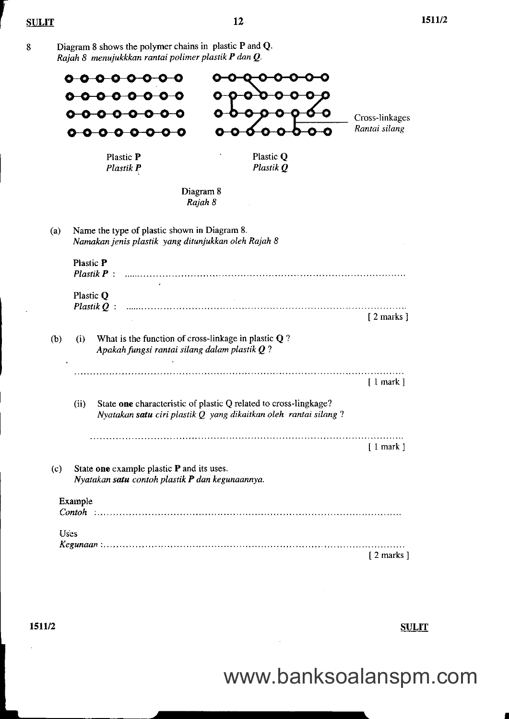Diagram 8 shows the polymer chains in plastic P and Q.  $\bf 8$ Rajah 8 menujukkkan rantai polimer plastik P dan Q.

|     | <del>0000</del><br><del>-0000</del> -0<br><del>000</del><br>€-                                                   |                                                                                                                                     | Cross-linkages<br>Rantai silang |
|-----|------------------------------------------------------------------------------------------------------------------|-------------------------------------------------------------------------------------------------------------------------------------|---------------------------------|
|     | Plastic P<br>Plastik P                                                                                           | Plastic Q<br>Plastik Q                                                                                                              |                                 |
|     |                                                                                                                  | Diagram 8<br>Rajah 8                                                                                                                |                                 |
| (a) | Name the type of plastic shown in Diagram 8.<br>Namakan jenis plastik yang ditunjukkan oleh Rajah 8              |                                                                                                                                     |                                 |
|     | <b>Plastic P</b><br>$Plasuk P$ :                                                                                 |                                                                                                                                     |                                 |
|     | Plastic Q<br>Plastik $Q$ .                                                                                       |                                                                                                                                     | $[2$ marks $]$                  |
| (b) | What is the function of cross-linkage in plastic $Q$ ?<br>(i)<br>Apakah fungsi rantai silang dalam plastik $Q$ ? |                                                                                                                                     |                                 |
|     |                                                                                                                  |                                                                                                                                     | $[1$ mark $]$                   |
|     | (ii)                                                                                                             | State one characteristic of plastic Q related to cross-lingkage?<br>Nyatakan satu ciri plastik Q yang dikaitkan oleh rantai silang? |                                 |
|     |                                                                                                                  |                                                                                                                                     | ∫ 1 mark                        |
| (c) | State one example plastic P and its uses.<br>Nyatakan satu contoh plastik P dan kegunaannya.                     |                                                                                                                                     |                                 |
|     | Example                                                                                                          |                                                                                                                                     |                                 |
|     | Uses                                                                                                             |                                                                                                                                     |                                 |
|     |                                                                                                                  |                                                                                                                                     | $[2$ marks $]$                  |

1511/2

**SULIT** 

I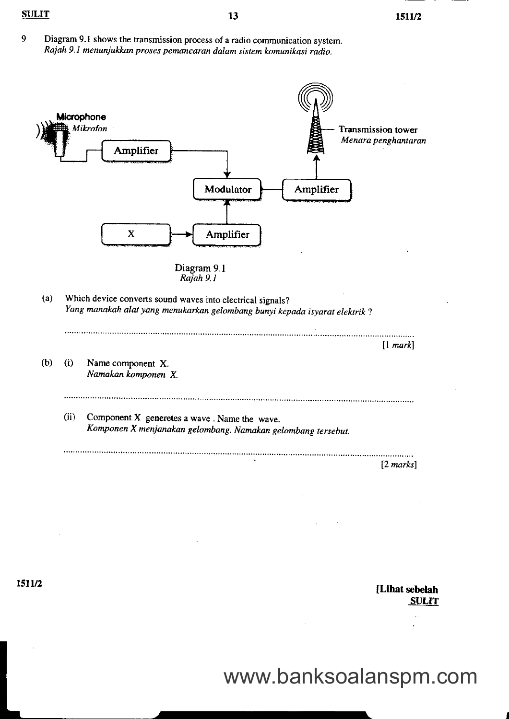9 Diagram 9.1 shows the transmission process of a radio communication system. Rajah 9.1 menunjukkan proses pemancaran dalam sistem komunikasi radio.



1511/2

[Lihat sebelah **SULIT**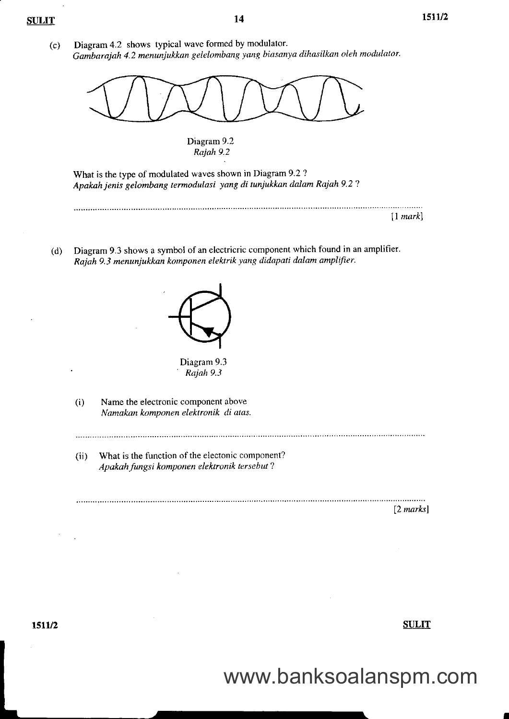14

(c) Diagram 4.2 shows typical wave formed by modulator. Gambarajah 4.2 menunjukkan gelelombang yang biasanya dihasilkan oleh modulator.



Diagram 9.2 Rajah 9.2

What is the type of modulated waves shown in Diagram 9.2 ? Apakah jenis gelombang termodulasi yang di tunjukkan dalam Rajah 9.2 ?

[1 markl

Diagram 9.3 shows a symbol of an electricric component which found in an amplifier. Rajah 9.3 menunjukkan komponen elektrik ydng didapati dalam amplifier. (d)



(i) Name the electronic component above Namakan komponen elektronik di atas.

(ii) What is the function of the electonic component? Apakah fungsi komponen elektronik tersebut ?

 $[2 \text{ marks}]$ 

tstu2 Sultantial Sultantial Sultantial Sultantial Sultantial Sultantial Sultantial Sultantial Sultantial Sultantial Sultantial Sultantial Sultantial Sultantial Sultantial Sultantial Sultantial Sultantial Sultantial Sultant

I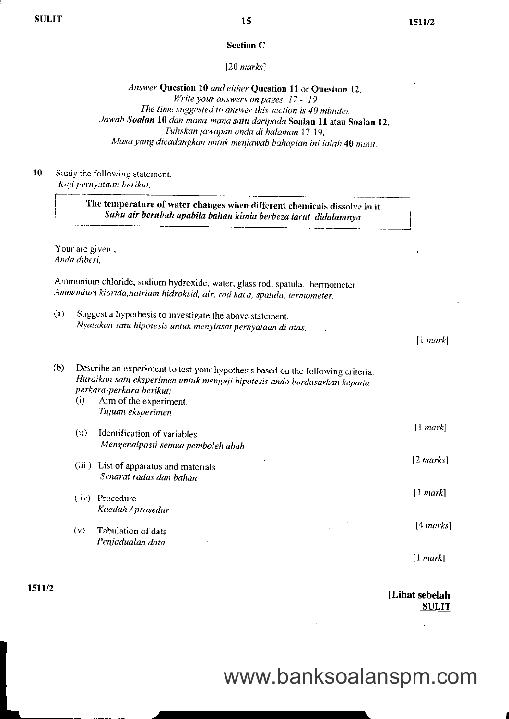#### Section C

#### $[20$  marks]

Answer Question 10 and either Question 11 or Question 12. Write your answers on pages 17 - 19 The time suggested to answer this section is 40 minutes Jawab Soalan 10 dan mana-mana satu daripada Soalan 11 atau Soalan 12.<br>''I uliskan jawapan anda di halaman 17-19. Masa yang dicadangkan untuk menjawab bahagian ini ialah 40 minit.

l0 Study the following statement, Keji pernyataan berikut,

> The temperature of water changes when different chemicals dissolve in it Suhu air berubah apabila bahan kimia berbeza larut didalamnya

Your are given , Anda diberi,

Ammonium chloride, sodium hydroxide, water, glass rod, spatula, thermometer Ammonium klorida,natrium hidroksid, air, rod kaca, spatula, termometer.

(a) Suggest a hypothesis to investigate the above statement. Nyatakan satu hipotesis untuk menyiasat pernyataon di atos.

 $[1 mark]$ 

(b) Describe an experiment to test your hypothesis based on the following criteria: Huraikan satu eksperimen untuk menguji hipotesis anda berdasarkan kepada perkara-perkara berikut;<br>(i) Aim of the experim Aim of the experiment. Tujuan eksperimen (ii) Identification of variables Mengenalpasti semua pemboleh ubah (iii ) List of apparatus and materials Senarai radas dan bahan ( iv) Procedure Kaedah / prosedur (v) Tabulation of data Penjadualan data [1 mark]  $[2$  marks]  $[1 mark]$ [4 marksl  $[1 mark]$ 

1511/2

[Lihat sebelah SULIT